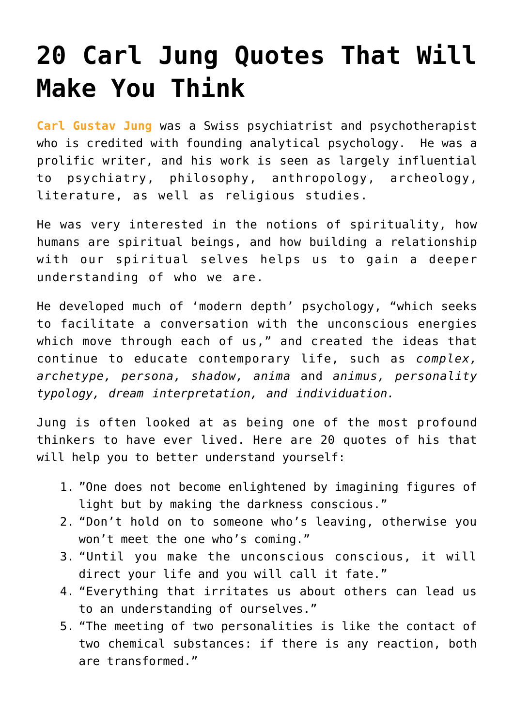## **[20 Carl Jung Quotes That Will](https://intellectualtakeout.org/2016/05/20-carl-jung-quotes-that-will-make-you-think/) [Make You Think](https://intellectualtakeout.org/2016/05/20-carl-jung-quotes-that-will-make-you-think/)**

**[Carl Gustav Jung](https://en.wikipedia.org/wiki/Carl_Jung)** was a Swiss psychiatrist and psychotherapist who is credited with founding analytical psychology. He was a prolific writer, and his work is seen as largely influential to psychiatry, philosophy, anthropology, archeology, literature, as well as religious studies.

He was very interested in the notions of spirituality, how humans are spiritual beings, and how building a relationship with our spiritual selves helps us to gain a deeper understanding of who we are.

He developed much of 'modern depth' psychology, "which seeks to facilitate a conversation with the unconscious energies which move through each of us," and created the ideas that continue to educate contemporary life, such as *complex, archetype, persona, shadow, anima* and *animus, personality typology, dream interpretation, and individuation.*

Jung is often looked at as being one of the most profound thinkers to have ever lived. Here are 20 quotes of his that will help you to better understand yourself:

- 1. "One does not become enlightened by imagining figures of light but by making the darkness conscious."
- 2. "Don't hold on to someone who's leaving, otherwise you won't meet the one who's coming."
- 3. "Until you make the unconscious conscious, it will direct your life and you will call it fate."
- 4. "Everything that irritates us about others can lead us to an understanding of ourselves."
- 5. "The meeting of two personalities is like the contact of two chemical substances: if there is any reaction, both are transformed."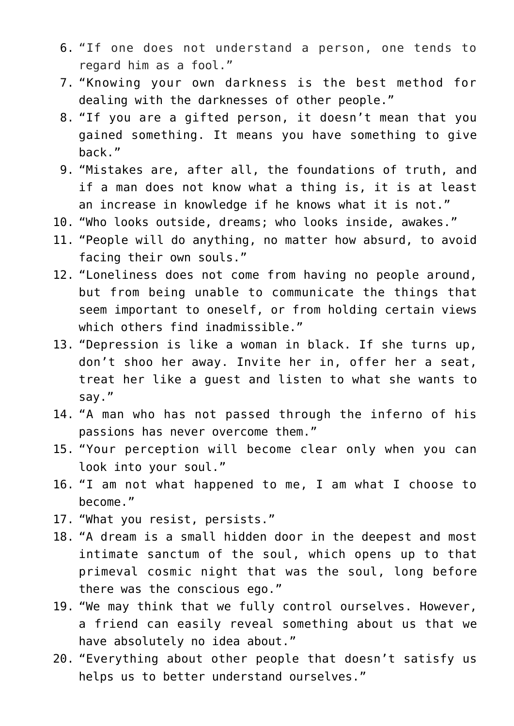- 6. "If one does not understand a person, one tends to regard him as a fool."
- 7. "Knowing your own darkness is the best method for dealing with the darknesses of other people."
- 8. "If you are a gifted person, it doesn't mean that you gained something. It means you have something to give back."
- 9. "Mistakes are, after all, the foundations of truth, and if a man does not know what a thing is, it is at least an increase in knowledge if he knows what it is not."
- 10. "Who looks outside, dreams; who looks inside, awakes."
- 11. "People will do anything, no matter how absurd, to avoid facing their own souls."
- 12. "Loneliness does not come from having no people around, but from being unable to communicate the things that seem important to oneself, or from holding certain views which others find inadmissible."
- 13. "Depression is like a woman in black. If she turns up, don't shoo her away. Invite her in, offer her a seat, treat her like a guest and listen to what she wants to say."
- 14. "A man who has not passed through the inferno of his passions has never overcome them."
- 15. "Your perception will become clear only when you can look into your soul."
- 16. "I am not what happened to me, I am what I choose to become."
- 17. "What you resist, persists."
- 18. "A dream is a small hidden door in the deepest and most intimate sanctum of the soul, which opens up to that primeval cosmic night that was the soul, long before there was the conscious ego."
- 19. "We may think that we fully control ourselves. However, a friend can easily reveal something about us that we have absolutely no idea about."
- 20. "Everything about other people that doesn't satisfy us helps us to better understand ourselves."